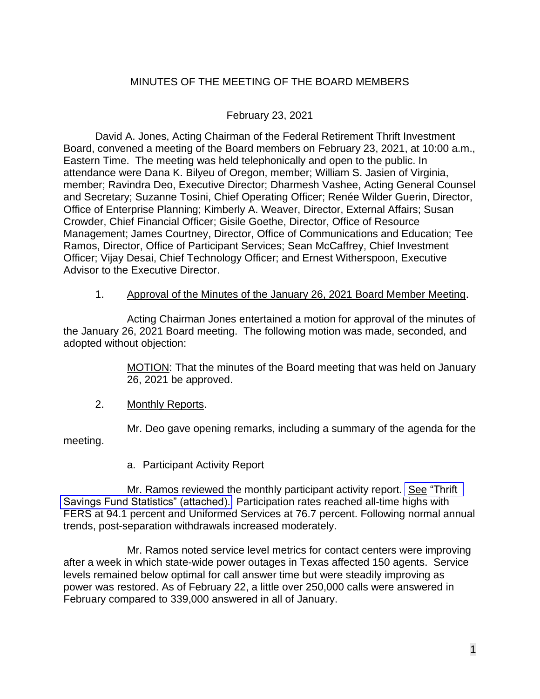# MINUTES OF THE MEETING OF THE BOARD MEMBERS

### February 23, 2021

David A. Jones, Acting Chairman of the Federal Retirement Thrift Investment Board, convened a meeting of the Board members on February 23, 2021, at 10:00 a.m., Eastern Time. The meeting was held telephonically and open to the public. In attendance were Dana K. Bilyeu of Oregon, member; William S. Jasien of Virginia, member; Ravindra Deo, Executive Director; Dharmesh Vashee, Acting General Counsel and Secretary; Suzanne Tosini, Chief Operating Officer; Renée Wilder Guerin, Director, Office of Enterprise Planning; Kimberly A. Weaver, Director, External Affairs; Susan Crowder, Chief Financial Officer; Gisile Goethe, Director, Office of Resource Management; James Courtney, Director, Office of Communications and Education; Tee Ramos, Director, Office of Participant Services; Sean McCaffrey, Chief Investment Officer; Vijay Desai, Chief Technology Officer; and Ernest Witherspoon, Executive Advisor to the Executive Director.

#### 1. Approval of the Minutes of the January 26, 2021 Board Member Meeting.

Acting Chairman Jones entertained a motion for approval of the minutes of the January 26, 2021 Board meeting. The following motion was made, seconded, and adopted without objection:

> MOTION: That the minutes of the Board meeting that was held on January 26, 2021 be approved.

2. Monthly Reports.

Mr. Deo gave opening remarks, including a summary of the agenda for the meeting.

a. Participant Activity Report

Mr. Ramos reviewed the monthly participant activity report. See "Thrift" [Savings Fund Statistics" \(attached\).](https://www.frtib.gov/pdf/minutes/2021/Feb/MM-2021Feb-Att1.pdf) Participation rates reached all-time highs with FERS at 94.1 percent and Uniformed Services at 76.7 percent. Following normal annual trends, post-separation withdrawals increased moderately.

Mr. Ramos noted service level metrics for contact centers were improving after a week in which state-wide power outages in Texas affected 150 agents. Service levels remained below optimal for call answer time but were steadily improving as power was restored. As of February 22, a little over 250,000 calls were answered in February compared to 339,000 answered in all of January.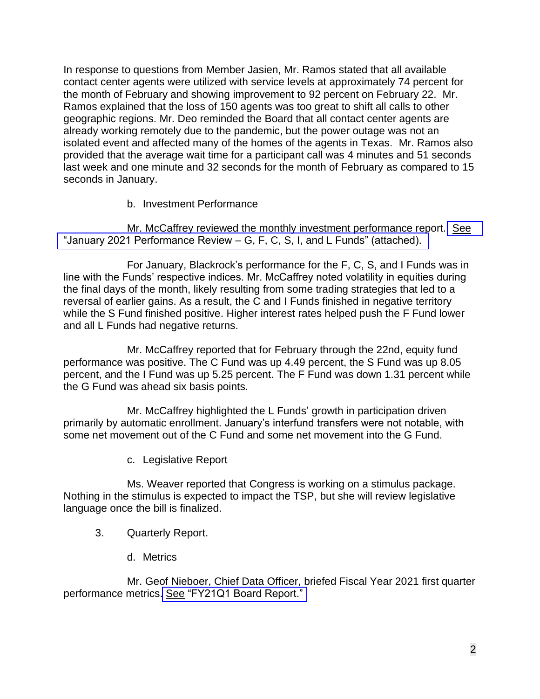In response to questions from Member Jasien, Mr. Ramos stated that all available contact center agents were utilized with service levels at approximately 74 percent for the month of February and showing improvement to 92 percent on February 22. Mr. Ramos explained that the loss of 150 agents was too great to shift all calls to other geographic regions. Mr. Deo reminded the Board that all contact center agents are already working remotely due to the pandemic, but the power outage was not an isolated event and affected many of the homes of the agents in Texas. Mr. Ramos also provided that the average wait time for a participant call was 4 minutes and 51 seconds last week and one minute and 32 seconds for the month of February as compared to 15 seconds in January.

b. Investment Performance

Mr. McCaffrey reviewed the monthly investment performance report. [See](https://www.frtib.gov/pdf/minutes/2021/Feb/MM-2021Feb-Att2.pdf) ["January 2021 Performance Review](https://www.frtib.gov/pdf/minutes/2021/Feb/MM-2021Feb-Att2.pdf) – G, F, C, S, I, and L Funds" (attached).

For January, Blackrock's performance for the F, C, S, and I Funds was in line with the Funds' respective indices. Mr. McCaffrey noted volatility in equities during the final days of the month, likely resulting from some trading strategies that led to a reversal of earlier gains. As a result, the C and I Funds finished in negative territory while the S Fund finished positive. Higher interest rates helped push the F Fund lower and all L Funds had negative returns.

Mr. McCaffrey reported that for February through the 22nd, equity fund performance was positive. The C Fund was up 4.49 percent, the S Fund was up 8.05 percent, and the I Fund was up 5.25 percent. The F Fund was down 1.31 percent while the G Fund was ahead six basis points.

Mr. McCaffrey highlighted the L Funds' growth in participation driven primarily by automatic enrollment. January's interfund transfers were not notable, with some net movement out of the C Fund and some net movement into the G Fund.

c. Legislative Report

Ms. Weaver reported that Congress is working on a stimulus package. Nothing in the stimulus is expected to impact the TSP, but she will review legislative language once the bill is finalized.

- 3. Quarterly Report.
	- d. Metrics

Mr. Geof Nieboer, Chief Data Officer, briefed Fiscal Year 2021 first quarter performance metrics. See ["FY21Q1 Board Report."](https://www.frtib.gov/pdf/minutes/2021/Feb/MM-2021Feb-Att3.pdf)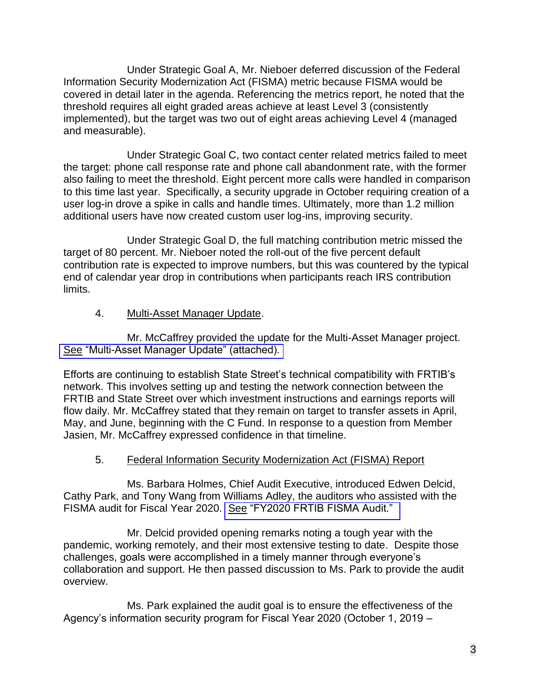Under Strategic Goal A, Mr. Nieboer deferred discussion of the Federal Information Security Modernization Act (FISMA) metric because FISMA would be covered in detail later in the agenda. Referencing the metrics report, he noted that the threshold requires all eight graded areas achieve at least Level 3 (consistently implemented), but the target was two out of eight areas achieving Level 4 (managed and measurable).

Under Strategic Goal C, two contact center related metrics failed to meet the target: phone call response rate and phone call abandonment rate, with the former also failing to meet the threshold. Eight percent more calls were handled in comparison to this time last year. Specifically, a security upgrade in October requiring creation of a user log-in drove a spike in calls and handle times. Ultimately, more than 1.2 million additional users have now created custom user log-ins, improving security.

Under Strategic Goal D, the full matching contribution metric missed the target of 80 percent. Mr. Nieboer noted the roll-out of the five percent default contribution rate is expected to improve numbers, but this was countered by the typical end of calendar year drop in contributions when participants reach IRS contribution limits.

### 4. Multi-Asset Manager Update.

Mr. McCaffrey provided the update for the Multi-Asset Manager project. See ["Multi-Asset Manager Update" \(attached\).](https://www.frtib.gov/pdf/minutes/2021/Feb/MM-2021Feb-Att4.pdf) 

Efforts are continuing to establish State Street's technical compatibility with FRTIB's network. This involves setting up and testing the network connection between the FRTIB and State Street over which investment instructions and earnings reports will flow daily. Mr. McCaffrey stated that they remain on target to transfer assets in April, May, and June, beginning with the C Fund. In response to a question from Member Jasien, Mr. McCaffrey expressed confidence in that timeline.

# 5. Federal Information Security Modernization Act (FISMA) Report

Ms. Barbara Holmes, Chief Audit Executive, introduced Edwen Delcid, Cathy Park, and Tony Wang from Williams Adley, the auditors who assisted with the FISMA audit for Fiscal Year 2020. See ["FY2020 FRTIB FISMA Audit."](https://www.frtib.gov/pdf/minutes/2021/Feb/MM-2021Feb-Att5.pdf) 

Mr. Delcid provided opening remarks noting a tough year with the pandemic, working remotely, and their most extensive testing to date. Despite those challenges, goals were accomplished in a timely manner through everyone's collaboration and support. He then passed discussion to Ms. Park to provide the audit overview.

Ms. Park explained the audit goal is to ensure the effectiveness of the Agency's information security program for Fiscal Year 2020 (October 1, 2019 –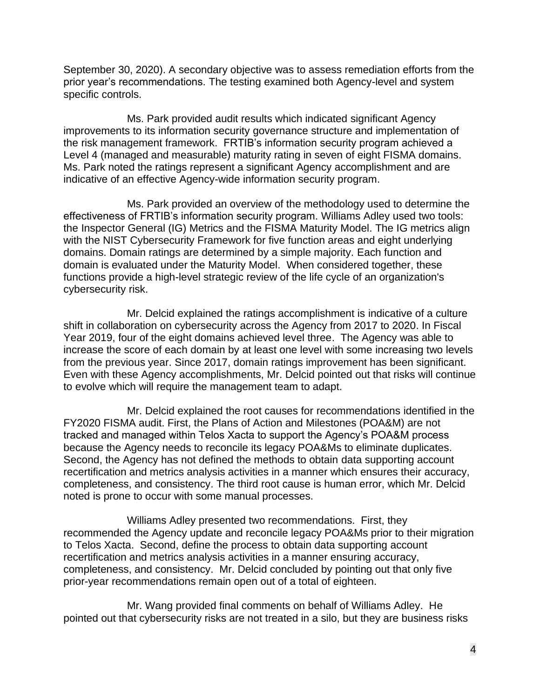September 30, 2020). A secondary objective was to assess remediation efforts from the prior year's recommendations. The testing examined both Agency-level and system specific controls.

Ms. Park provided audit results which indicated significant Agency improvements to its information security governance structure and implementation of the risk management framework. FRTIB's information security program achieved a Level 4 (managed and measurable) maturity rating in seven of eight FISMA domains. Ms. Park noted the ratings represent a significant Agency accomplishment and are indicative of an effective Agency-wide information security program.

Ms. Park provided an overview of the methodology used to determine the effectiveness of FRTIB's information security program. Williams Adley used two tools: the Inspector General (IG) Metrics and the FISMA Maturity Model. The IG metrics align with the NIST Cybersecurity Framework for five function areas and eight underlying domains. Domain ratings are determined by a simple majority. Each function and domain is evaluated under the Maturity Model. When considered together, these functions provide a high-level strategic review of the life cycle of an organization's cybersecurity risk.

Mr. Delcid explained the ratings accomplishment is indicative of a culture shift in collaboration on cybersecurity across the Agency from 2017 to 2020. In Fiscal Year 2019, four of the eight domains achieved level three. The Agency was able to increase the score of each domain by at least one level with some increasing two levels from the previous year. Since 2017, domain ratings improvement has been significant. Even with these Agency accomplishments, Mr. Delcid pointed out that risks will continue to evolve which will require the management team to adapt.

Mr. Delcid explained the root causes for recommendations identified in the FY2020 FISMA audit. First, the Plans of Action and Milestones (POA&M) are not tracked and managed within Telos Xacta to support the Agency's POA&M process because the Agency needs to reconcile its legacy POA&Ms to eliminate duplicates. Second, the Agency has not defined the methods to obtain data supporting account recertification and metrics analysis activities in a manner which ensures their accuracy, completeness, and consistency. The third root cause is human error, which Mr. Delcid noted is prone to occur with some manual processes.

Williams Adley presented two recommendations. First, they recommended the Agency update and reconcile legacy POA&Ms prior to their migration to Telos Xacta. Second, define the process to obtain data supporting account recertification and metrics analysis activities in a manner ensuring accuracy, completeness, and consistency. Mr. Delcid concluded by pointing out that only five prior-year recommendations remain open out of a total of eighteen.

Mr. Wang provided final comments on behalf of Williams Adley. He pointed out that cybersecurity risks are not treated in a silo, but they are business risks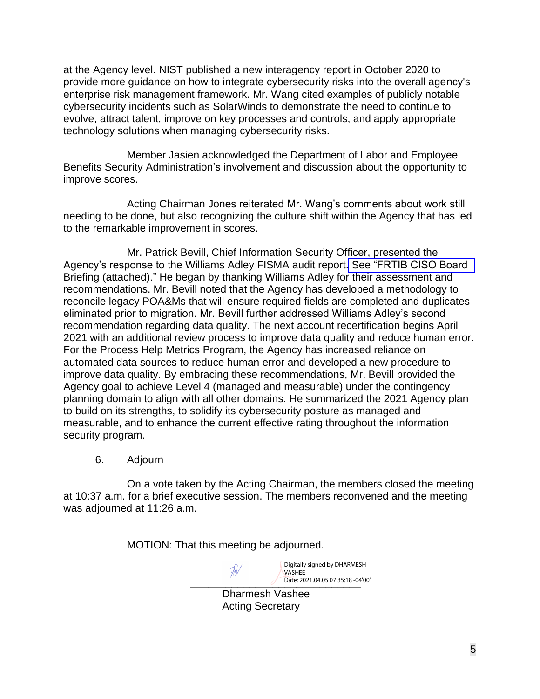at the Agency level. NIST published a new interagency report in October 2020 to provide more guidance on how to integrate cybersecurity risks into the overall agency's enterprise risk management framework. Mr. Wang cited examples of publicly notable cybersecurity incidents such as SolarWinds to demonstrate the need to continue to evolve, attract talent, improve on key processes and controls, and apply appropriate technology solutions when managing cybersecurity risks.

Member Jasien acknowledged the Department of Labor and Employee Benefits Security Administration's involvement and discussion about the opportunity to improve scores.

Acting Chairman Jones reiterated Mr. Wang's comments about work still needing to be done, but also recognizing the culture shift within the Agency that has led to the remarkable improvement in scores.

Mr. Patrick Bevill, Chief Information Security Officer, presented the Agency's response to the Williams Adley FISMA audit report. See ["FRTIB CISO Board](https://www.frtib.gov/pdf/minutes/2021/Feb/MM-2021Feb-Att6.pdf)  Briefing (attached)." He began by thanking Williams Adley for their assessment and recommendations. Mr. Bevill noted that the Agency has developed a methodology to reconcile legacy POA&Ms that will ensure required fields are completed and duplicates eliminated prior to migration. Mr. Bevill further addressed Williams Adley's second recommendation regarding data quality. The next account recertification begins April 2021 with an additional review process to improve data quality and reduce human error. For the Process Help Metrics Program, the Agency has increased reliance on automated data sources to reduce human error and developed a new procedure to improve data quality. By embracing these recommendations, Mr. Bevill provided the Agency goal to achieve Level 4 (managed and measurable) under the contingency planning domain to align with all other domains. He summarized the 2021 Agency plan to build on its strengths, to solidify its cybersecurity posture as managed and measurable, and to enhance the current effective rating throughout the information security program.

6. Adjourn

On a vote taken by the Acting Chairman, the members closed the meeting at 10:37 a.m. for a brief executive session. The members reconvened and the meeting was adjourned at 11:26 a.m.

MOTION: That this meeting be adjourned.

₩

\_\_\_\_\_\_\_\_\_\_\_\_\_\_\_\_\_\_\_\_\_\_\_\_\_\_\_\_\_ Date: 2021.04.05 07:35:18 -04'00'Digitally signed by DHARMESH VASHEE

Dharmesh Vashee Acting Secretary